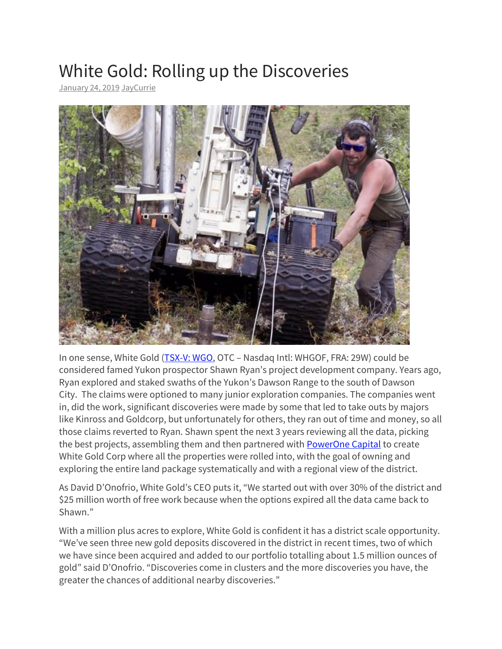## White Gold: Rolling up the Discoveries

[January 24, 2019](http://motherlodetv.net/index.php/2019/01/24/white-gold-rolling-up-the-discoveries/) [JayCurrie](http://motherlodetv.net/index.php/author/jaycurrie/)



In one sense, White Gold [\(TSX-V: WGO,](https://web.tmxmoney.com/quote.php?qm_symbol=WGO) OTC – Nasdaq Intl: WHGOF, FRA: 29W) could be considered famed Yukon prospector Shawn Ryan's project development company. Years ago, Ryan explored and staked swaths of the Yukon's Dawson Range to the south of Dawson City. The claims were optioned to many junior exploration companies. The companies went in, did the work, significant discoveries were made by some that led to take outs by majors like Kinross and Goldcorp, but unfortunately for others, they ran out of time and money, so all those claims reverted to Ryan. Shawn spent the next 3 years reviewing all the data, picking the best projects, assembling them and then partnered with **[PowerOne Capital](http://www.poweronecapital.com/)** to create White Gold Corp where all the properties were rolled into, with the goal of owning and exploring the entire land package systematically and with a regional view of the district.

As David D'Onofrio, White Gold's CEO puts it, "We started out with over 30% of the district and \$25 million worth of free work because when the options expired all the data came back to Shawn."

With a million plus acres to explore, White Gold is confident it has a district scale opportunity. "We've seen three new gold deposits discovered in the district in recent times, two of which we have since been acquired and added to our portfolio totalling about 1.5 million ounces of gold" said D'Onofrio. "Discoveries come in clusters and the more discoveries you have, the greater the chances of additional nearby discoveries."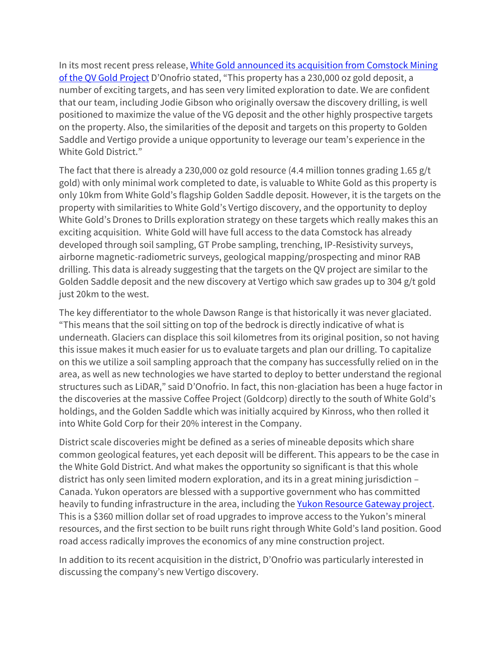In its most recent press release, White Gold announced its acquisition from Comstock Mining [of the QV Gold Project](https://wp.me/p93sE0-T9) D'Onofrio stated, "This property has a 230,000 oz gold deposit, a number of exciting targets, and has seen very limited exploration to date. We are confident that our team, including Jodie Gibson who originally oversaw the discovery drilling, is well positioned to maximize the value of the VG deposit and the other highly prospective targets on the property. Also, the similarities of the deposit and targets on this property to Golden Saddle and Vertigo provide a unique opportunity to leverage our team's experience in the White Gold District."

The fact that there is already a 230,000 oz gold resource (4.4 million tonnes grading 1.65 g/t gold) with only minimal work completed to date, is valuable to White Gold as this property is only 10km from White Gold's flagship Golden Saddle deposit. However, it is the targets on the property with similarities to White Gold's Vertigo discovery, and the opportunity to deploy White Gold's Drones to Drills exploration strategy on these targets which really makes this an exciting acquisition. White Gold will have full access to the data Comstock has already developed through soil sampling, GT Probe sampling, trenching, IP-Resistivity surveys, airborne magnetic-radiometric surveys, geological mapping/prospecting and minor RAB drilling. This data is already suggesting that the targets on the QV project are similar to the Golden Saddle deposit and the new discovery at Vertigo which saw grades up to 304 g/t gold just 20km to the west.

The key differentiator to the whole Dawson Range is that historically it was never glaciated. "This means that the soil sitting on top of the bedrock is directly indicative of what is underneath. Glaciers can displace this soil kilometres from its original position, so not having this issue makes it much easier for us to evaluate targets and plan our drilling. To capitalize on this we utilize a soil sampling approach that the company has successfully relied on in the area, as well as new technologies we have started to deploy to better understand the regional structures such as LiDAR," said D'Onofrio. In fact, this non-glaciation has been a huge factor in the discoveries at the massive Coffee Project (Goldcorp) directly to the south of White Gold's holdings, and the Golden Saddle which was initially acquired by Kinross, who then rolled it into White Gold Corp for their 20% interest in the Company.

District scale discoveries might be defined as a series of mineable deposits which share common geological features, yet each deposit will be different. This appears to be the case in the White Gold District. And what makes the opportunity so significant is that this whole district has only seen limited modern exploration, and its in a great mining jurisdiction – Canada. Yukon operators are blessed with a supportive government who has committed heavily to funding infrastructure in the area, including the [Yukon Resource Gateway project.](http://www.emr.gov.yk.ca/mining/yukon-resource-gateway-project.html) This is a \$360 million dollar set of road upgrades to improve access to the Yukon's mineral resources, and the first section to be built runs right through White Gold's land position. Good road access radically improves the economics of any mine construction project.

In addition to its recent acquisition in the district, D'Onofrio was particularly interested in discussing the company's new Vertigo discovery.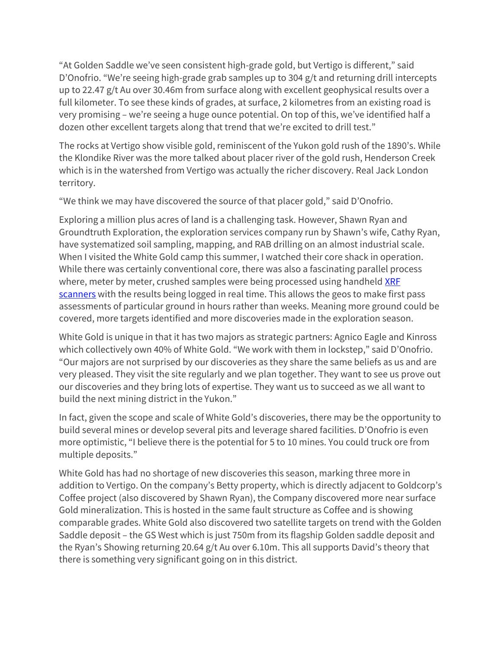"At Golden Saddle we've seen consistent high-grade gold, but Vertigo is different," said D'Onofrio. "We're seeing high-grade grab samples up to 304 g/t and returning drill intercepts up to 22.47 g/t Au over 30.46m from surface along with excellent geophysical results over a full kilometer. To see these kinds of grades, at surface, 2 kilometres from an existing road is very promising – we're seeing a huge ounce potential. On top of this, we've identified half a dozen other excellent targets along that trend that we're excited to drill test."

The rocks at Vertigo show visible gold, reminiscent of the Yukon gold rush of the 1890's. While the Klondike River was the more talked about placer river of the gold rush, Henderson Creek which is in the watershed from Vertigo was actually the richer discovery. Real Jack London territory.

"We think we may have discovered the source of that placer gold," said D'Onofrio.

Exploring a million plus acres of land is a challenging task. However, Shawn Ryan and Groundtruth Exploration, the exploration services company run by Shawn's wife, Cathy Ryan, have systematized soil sampling, mapping, and RAB drilling on an almost industrial scale. When I visited the White Gold camp this summer, I watched their core shack in operation. While there was certainly conventional core, there was also a fascinating parallel process where, meter by meter, crushed samples were being processed using handheld XRF [scanners](https://www.bruker.com/products/x-ray-diffraction-and-elemental-analysis/handheld-xrf/how-xrf-works.html) with the results being logged in real time. This allows the geos to make first pass assessments of particular ground in hours rather than weeks. Meaning more ground could be covered, more targets identified and more discoveries made in the exploration season.

White Gold is unique in that it has two majors as strategic partners: Agnico Eagle and Kinross which collectively own 40% of White Gold. "We work with them in lockstep," said D'Onofrio. "Our majors are not surprised by our discoveries as they share the same beliefs as us and are very pleased. They visit the site regularly and we plan together. They want to see us prove out our discoveries and they bring lots of expertise. They want us to succeed as we all want to build the next mining district in the Yukon."

In fact, given the scope and scale of White Gold's discoveries, there may be the opportunity to build several mines or develop several pits and leverage shared facilities. D'Onofrio is even more optimistic, "I believe there is the potential for 5 to 10 mines. You could truck ore from multiple deposits."

White Gold has had no shortage of new discoveries this season, marking three more in addition to Vertigo. On the company's Betty property, which is directly adjacent to Goldcorp's Coffee project (also discovered by Shawn Ryan), the Company discovered more near surface Gold mineralization. This is hosted in the same fault structure as Coffee and is showing comparable grades. White Gold also discovered two satellite targets on trend with the Golden Saddle deposit – the GS West which is just 750m from its flagship Golden saddle deposit and the Ryan's Showing returning 20.64 g/t Au over 6.10m. This all supports David's theory that there is something very significant going on in this district.